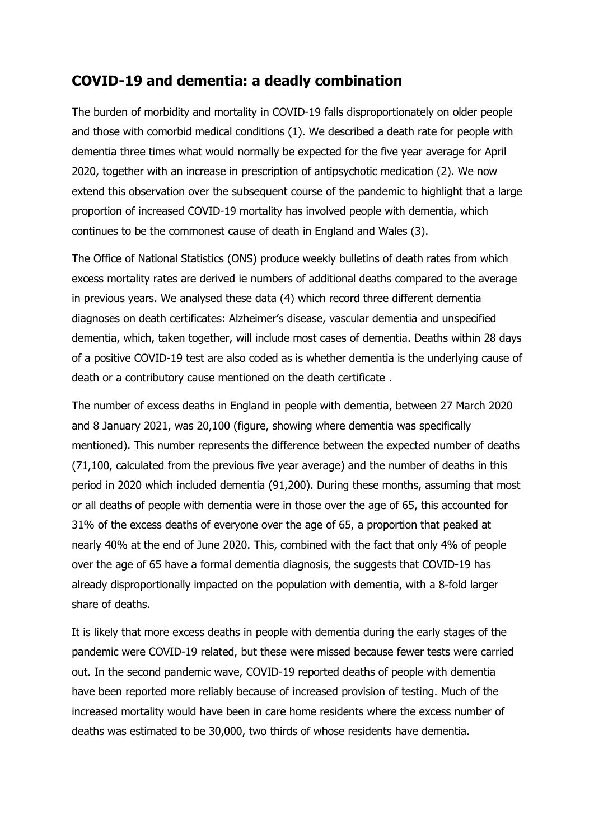## **COVID-19 and dementia: a deadly combination**

The burden of morbidity and mortality in COVID-19 falls disproportionately on older people and those with comorbid medical conditions (1). We described a death rate for people with dementia three times what would normally be expected for the five year average for April 2020, together with an increase in prescription of antipsychotic medication (2). We now extend this observation over the subsequent course of the pandemic to highlight that a large proportion of increased COVID-19 mortality has involved people with dementia, which continues to be the commonest cause of death in England and Wales (3).

The Office of National Statistics (ONS) produce weekly bulletins of death rates from which excess mortality rates are derived ie numbers of additional deaths compared to the average in previous years. We analysed these data (4) which record three different dementia diagnoses on death certificates: Alzheimer's disease, vascular dementia and unspecified dementia, which, taken together, will include most cases of dementia. Deaths within 28 days of a positive COVID-19 test are also coded as is whether dementia is the underlying cause of death or a contributory cause mentioned on the death certificate .

The number of excess deaths in England in people with dementia, between 27 March 2020 and 8 January 2021, was 20,100 (figure, showing where dementia was specifically mentioned). This number represents the difference between the expected number of deaths (71,100, calculated from the previous five year average) and the number of deaths in this period in 2020 which included dementia (91,200). During these months, assuming that most or all deaths of people with dementia were in those over the age of 65, this accounted for 31% of the excess deaths of everyone over the age of 65, a proportion that peaked at nearly 40% at the end of June 2020. This, combined with the fact that only 4% of people over the age of 65 have a formal dementia diagnosis, the suggests that COVID-19 has already disproportionally impacted on the population with dementia, with a 8-fold larger share of deaths.

It is likely that more excess deaths in people with dementia during the early stages of the pandemic were COVID-19 related, but these were missed because fewer tests were carried out. In the second pandemic wave, COVID-19 reported deaths of people with dementia have been reported more reliably because of increased provision of testing. Much of the increased mortality would have been in care home residents where the excess number of deaths was estimated to be 30,000, two thirds of whose residents have dementia.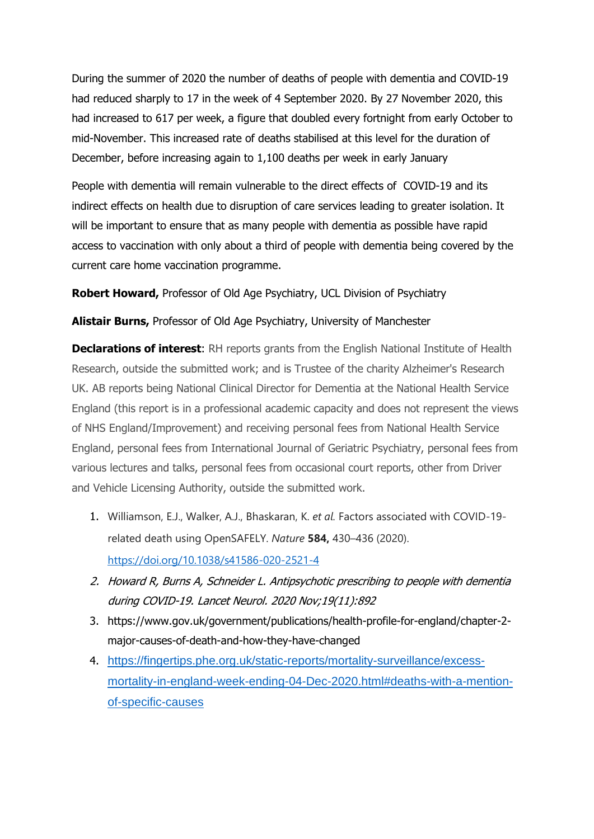During the summer of 2020 the number of deaths of people with dementia and COVID-19 had reduced sharply to 17 in the week of 4 September 2020. By 27 November 2020, this had increased to 617 per week, a figure that doubled every fortnight from early October to mid-November. This increased rate of deaths stabilised at this level for the duration of December, before increasing again to 1,100 deaths per week in early January

People with dementia will remain vulnerable to the direct effects of COVID-19 and its indirect effects on health due to disruption of care services leading to greater isolation. It will be important to ensure that as many people with dementia as possible have rapid access to vaccination with only about a third of people with dementia being covered by the current care home vaccination programme.

**Robert Howard,** Professor of Old Age Psychiatry, UCL Division of Psychiatry

## **Alistair Burns,** Professor of Old Age Psychiatry, University of Manchester

**Declarations of interest:** RH reports grants from the English National Institute of Health Research, outside the submitted work; and is Trustee of the charity Alzheimer's Research UK. AB reports being National Clinical Director for Dementia at the National Health Service England (this report is in a professional academic capacity and does not represent the views of NHS England/Improvement) and receiving personal fees from National Health Service England, personal fees from International Journal of Geriatric Psychiatry, personal fees from various lectures and talks, personal fees from occasional court reports, other from Driver and Vehicle Licensing Authority, outside the submitted work.

- 1. Williamson, E.J., Walker, A.J., Bhaskaran, K. *et al.* Factors associated with COVID-19 related death using OpenSAFELY. *Nature* **584,** 430–436 (2020). <https://doi.org/10.1038/s41586-020-2521-4>
- 2. Howard R, Burns A, Schneider L. Antipsychotic prescribing to people with dementia during COVID-19. Lancet Neurol. 2020 Nov;19(11):892
- 3. https://www.gov.uk/government/publications/health-profile-for-england/chapter-2 major-causes-of-death-and-how-they-have-changed
- 4. [https://fingertips.phe.org.uk/static-reports/mortality-surveillance/excess](https://fingertips.phe.org.uk/static-reports/mortality-surveillance/excess-mortality-in-england-week-ending-04-Dec-2020.html#deaths-with-a-mention-of-specific-causes)[mortality-in-england-week-ending-04-Dec-2020.html#deaths-with-a-mention](https://fingertips.phe.org.uk/static-reports/mortality-surveillance/excess-mortality-in-england-week-ending-04-Dec-2020.html#deaths-with-a-mention-of-specific-causes)[of-specific-causes](https://fingertips.phe.org.uk/static-reports/mortality-surveillance/excess-mortality-in-england-week-ending-04-Dec-2020.html#deaths-with-a-mention-of-specific-causes)